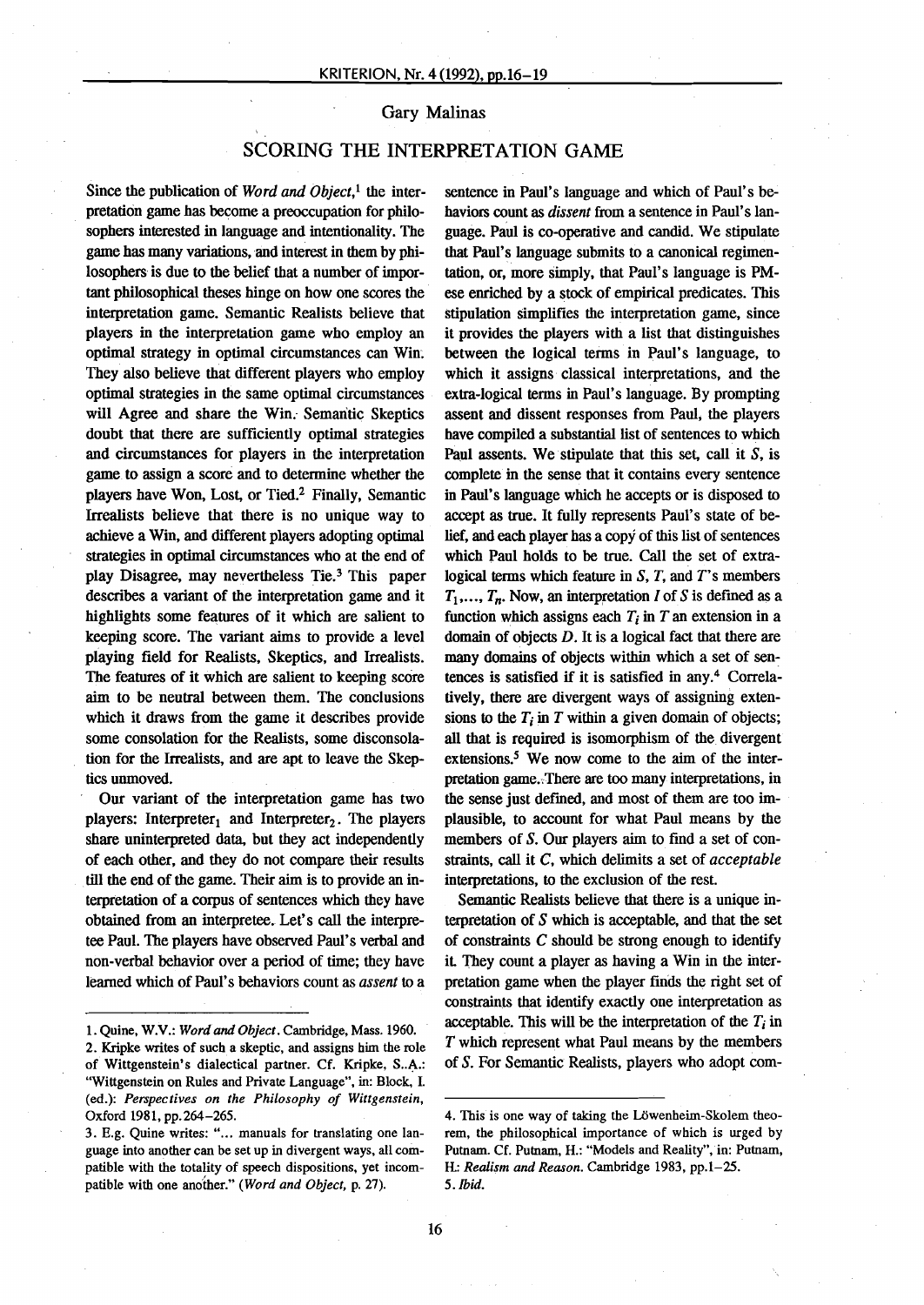## Gary Malinas

## SCORING THE INTERPRETATION GAME

Since the publication of *Word and Object*,<sup>1</sup> the interpretation game has become a preoccupation for philosophers interested in language and intentionality. The game has many variations, and interest in them by philosophers is due to the belief that a number of important philosophical theses hinge on how one scores the interpretation game. Semantic Realists believe that players in the interpretation game who employ an optimal strategy in optimal circumstances can Win. They also believe that different players who employ optimal strategies in the same optimal circumstances will Agree and share the Win. Semantic Skeptics doubt that there are sufficiently optimal strategies and circumstances for players in the interpretation game to assign a score and to determine whether the players have Won, Lost, or Tied.<sup>2</sup> Finally, Semantic Irrealists believe that there is no unique way to achieve a Win, and different players adopting optimal strategies in optimal circumstances who at the end of play Disagree, may nevertheless Tie.<sup>3</sup> This paper describes a variant of the interpretation game and it highlights some features of it which are salient to keeping score. The variant aims to provide a level playing field for Realists, Skeptics, and Irrealists. The features of it which are salient to keeping score aim to be neutral between them. The conclusions which it draws from the game it describes provide some consolation for the Realists, some disconsolation for the Irrealists, and are apt to leave the Skeptics unmoved.

, Our variant of the interpretation game has two players: Interpreter<sub>1</sub> and Interpreter<sub>2</sub>. The players share uninterpreted data, but they act independently of each other, and they do not compare their results till the end of the game. Their aim is to provide an interpretation of a corpus of sentences which they have obtained from an interpretee..Let's call the interpretee Panl, The players have observed Paul's verbal and non-verbal behavior over a period of time; they have learned which of Paul's behaviors count as *assent* to a

sentence in Paul's language and which of Paul's behaviors count as *dissent* from a sentence in Paul's language. Paul is co-operative and candid. We stipulate that Paul's langnage submits to a canonical regimentation, or, more simply, that PauI's language is PMese enriched by a stock of empirical predicates. This stipulation simplifies the interpretation game, since it provides the players with a list that distinguishes between the logical terms in Paul's language, to which it assigns classical interpretations, and the extra-Iogical terms in PauI's language. By prompting assent and dissent responses from Paul, the players have compiled a substantial list of sentences to which Paul assents. We stipulate that this set, call it  $S$ , is complete in the sense that it contains every sentence in Paul's language which he accepts or is disposed to accept as true. It fully represents Paul's state of belief, and each player has a copy of this list of sentences which Paul holds to be true. Call the set of extralogical terms which feature in  $S$ ,  $T$ , and  $T$ 's members  $T_1$ ,...,  $T_n$ . Now, an interpretation I of S is defined as a function which assigns each  $T_i$  in  $T_i$  an extension in a domain of objects  $D$ . It is a logical fact that there are many domains of objects within which a set of sentences is satisfied if it is satisfied in any.<sup>4</sup> Correlatively, there are divergent ways of assigning extensions to the  $T_i$  in  $T$  within a given domain of objects; all that is required is isomorphism of the divergent extensions.<sup>5</sup> We now come to the aim of the interpretation game. There are too many interpretations, in the sense just defmed, and most of them are too implausible, to account for what Paul means by the members of S. Our players aim to find a set of constraints, call it C, which delimits a set of *acceptable* interpretations, to the exclusion of the rest.

Semantic Realists believe that there is a unique interpretation of S which is acceptable, and that the set of constraints  $C$  should be strong enough to identify it, They count a player as having a Win in the interpretation game when the player finds the right set of constraints that identify exactly one interpretation as acceptable. This will be the interpretation of the  $T_i$  in  $T$  which represent what Paul means by the members of S. For Semantic Realists, players who adopt com-

<sup>1.</sup> Quine, W.V.: *Wordand Object.* Cambridge, Mass. 1960.

<sup>2.</sup> Kripke writes of such a skeptic, and assigns him the role of Wittgenstein's dialectical partner. Cf. Kripke, S..A.: "Wittgenstein on Rules and Private Language", in: Block, I. (ed.): *Perspectives on the Philosophy of Wittgenstein,* Oxford 1981, pp. 264-265.

<sup>3.</sup> E.g. Quine writes: "... manuals for translating one language into another can be set up in divergent ways, all compatible with the totality of speech dispositions, yet incompatible with one another." *(Word and Object, p. 27)*.

<sup>4.</sup> This is one way of taking the Löwenheim-Skolem theorem, the philosophical importance of which is urged by Putnam. Cf. Putnam, H.: "Models and Reality", in: Putnam, H: *Realism and Reason*. Cambridge 1983, pp.1-25. 5. Ibid.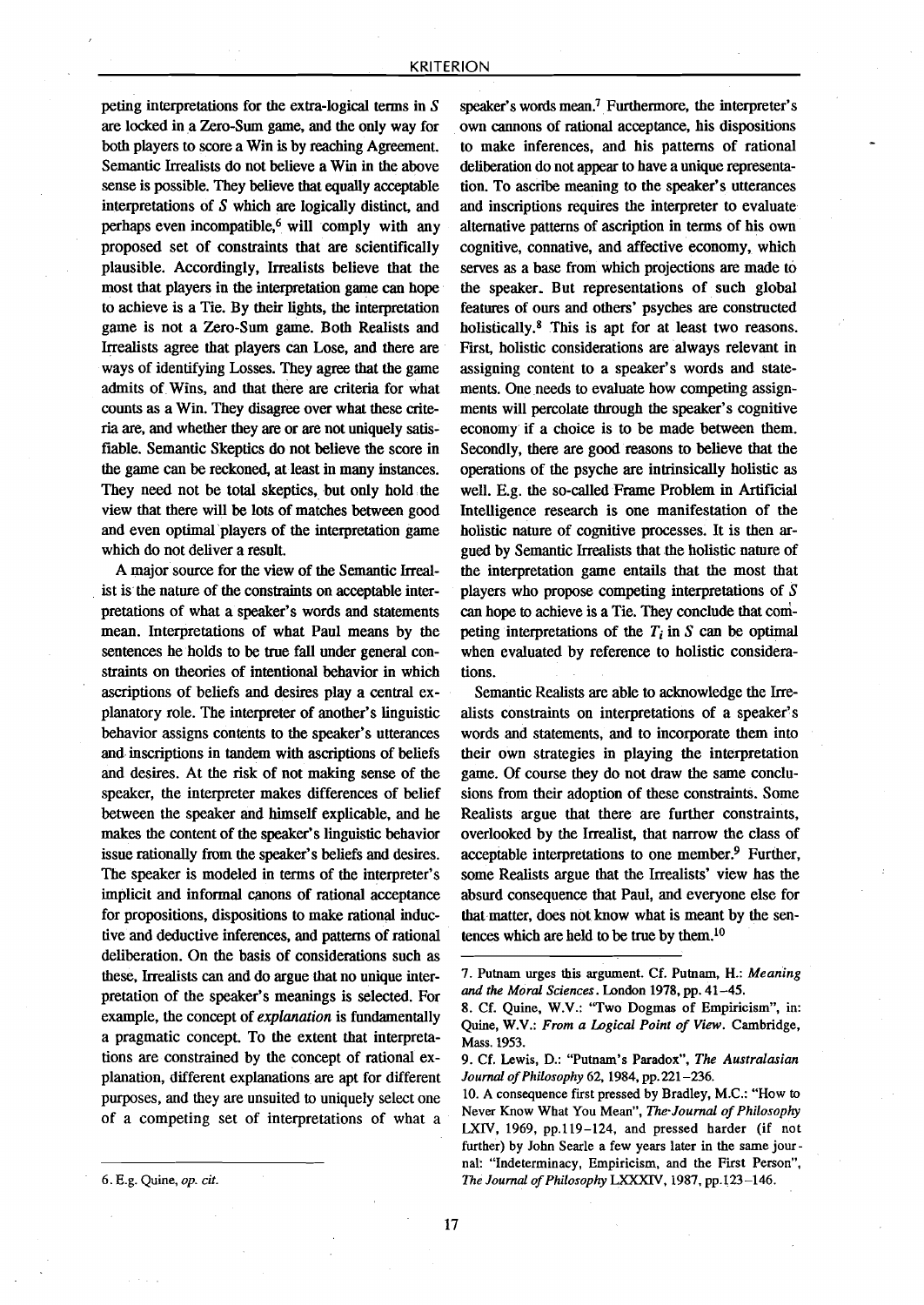peting interpretations for the extra-Iogical tenns in S are locked in a Zero-Sum game, and the only way for both players to score a Win is by reaching Agreement. Semantic Irrealists do not believe a Win in the above sense is possible. They believe that equally acceptable interpretations of  $S$  which are logically distinct, and perhaps even incompatible,<sup>6</sup> will comply with any proposed set of constraints that are scientifically plausible. Accordingly, Irrealists believe that the most that players in the interpretation game can hope to achieve is a Tie. By their lights, the interpretation game is not a Zero-Sum game. Both Realists and Irrealists agree that players can Lose, and there are ways of identifying Losses. They agree that the game admits of Wins, and that there are criteria for what counts as a Win. They disagree over what these criteria are, and whether they are or are not uniquely satisfiable. Semantic Skeptics do not believe the score in the game can be reckoned, at least in many instances. They need not be total skeptics, but only hold the view that there will be lots of matches between good and even optimal 'players of the interpretation game which do not deliver a result.

A major source for the view of the Semantic Irreal- . ist is the nature of the constraints on acceptable interpretations of what a speaker's words and statements mean. Interpretations of what Paul means by the sentences he holds to be true fall under general constraints on theories of intentional behavior in which ascriptions of beliefs and desires playa central explanatory role. The interpreter of another's linguistic behavior assigns contents to the speaker's utterances and inscriptions in tandem with ascriptions of beliefs and desires. At the risk of not making sense of the speaker, the interpreter makes differences of belief between the speaker and himself explicable, and he makes the content of the speaker's linguistic behavior issue rationally from the speaker's beliefs and desires. The speaker is modeled in terms of the interpreter's implicit and informal canons of rational acceptance for propositions, dispositions to make rational inductive and deductive inferences, and patterns of rational deliberation. On the basis of considerations such as these, Irrealists can and do argue that no unique interpretation of the speaker's meanings is selected. For example, the concept of *explanation* is fundamentally a pragmatic concept. To the extent that interpretations are constrained by the concept of rational explanation, different explanations are apt for different purposes, and they are unsuited to uniquely select one of a competing set of interpretations of what a

17

speaker's words mean," Furthennore, the interpreter's own cannons of rational acceptance, his dispositions to make inferences, and his patterns of rational deliberation do not appear to have a unique representation. To ascribe meaning to the speaker's utterances and inscriptions requires the interpreter to evaluate alternative patterns of ascription in terms of his own cognitive, connative, and affective economy, which serves as a base from which projections are made to the speaker. But representations of such global features of ours and others' psyches are constructed holistically.<sup>8</sup> This is apt for at least two reasons. First, holistic considerations are always relevant in assigning content to a speaker's words and statements. One needs to evaluate how competing assignments will percolate through the speaker's cognitive economy if a choice is to be made between them. Secondly, there are good reasons to believe that the operations of the psyche are intrinsically holistic as well, E.g. the so-called Frame Problem in Artificial Intelligence research is one manifestation of the holistic nature of cognitive processes. It is then argued by Semantic Irrealists that the holistic nature of the interpretation game entails that the most that players who propose competing interpretations of S can hope to achieve is a Tie. They conclude that competing interpretations of the  $T_i$  in  $S$  can be optimal when evaluated by reference to holistic considerations.

Semantic Realists are able to acknowledge the Irrealists constraints on interpretations of a speaker's words and statements, and to incorporate them into their own strategies in playing the interpretation game. Of course they do not draw the same conelusions from their adoption of these constraints. Some Realists argue that there are further constraints, overlooked by the Irrealist, that narrow the dass of acceptable interpretations to one member,? Further, some Realists argue that the Irrealists' view has the absurd consequence that Paul, and everyone else for that matter, does not know what is meant by the sentences which are held to be true by them. $10$ 

<sup>7.</sup> Putnam urges this argument. Cf. Putnam, H.: *Meaning and the Moral Sciences.* London 1978,pp. 41-45.

<sup>8.</sup> Cf. Quine, W.V.: ''Two Dogmas of Empiricism", in: Quine, W.V.: *From a Logical Point 0/ View.* Cambridge, Mass.1953.

<sup>9.</sup> Cf. Lewis, D.: "Putnam's Paradox", *The Australasian Journal 0/Philosophy* 62, 1984, pp.221-236.

<sup>10.</sup> A consequence first pressed by Bradley, M.C.: "How to Never Know What You Mean", The Journal of Philosophy LXIV, 1969, pp.119-124, and pressed harder (if not further) by lohn Searle a few years later in the same journal: "Indeterminacy, Empiricism, and the First Person", *The Journal 0/Philosophy* LXXXIV, 1987, pp.123-146.

<sup>6.</sup> E.g. Quine, *op. cit.*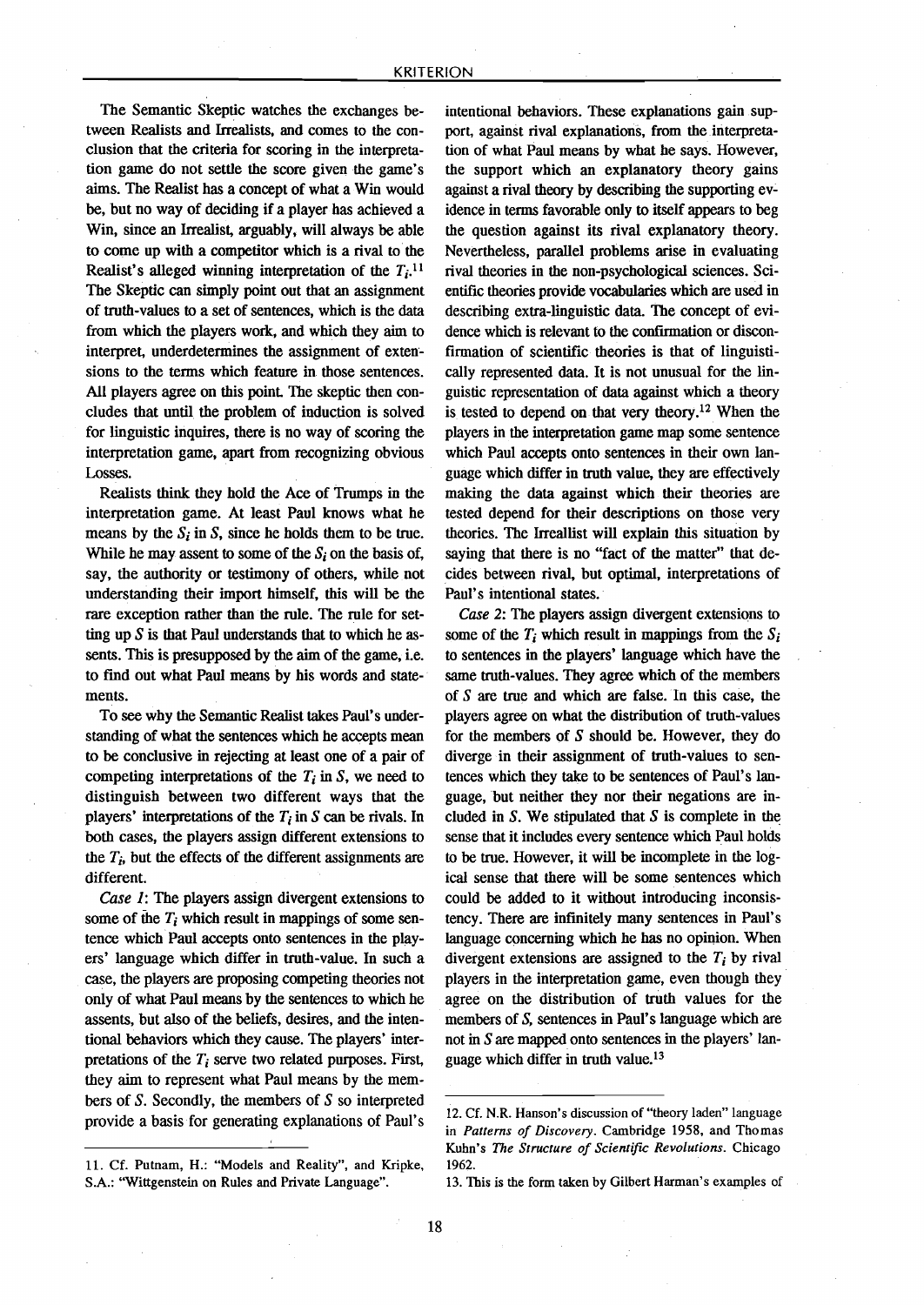The Semantic Skeptic watches the exchanges between Realists and Irrealists, and comes to the conclusion that the criteria for scoring in the interpretation game do not settle the score given the game's aims. The Realist has a concept of what a Win would be, but no way of deciding if a player has achieved a Win, since an Irrealist, arguably, will always be able to come up with a competitor which is a rival to the Realist's alleged winning interpretation of the  $T_i$ .<sup>11</sup> The Skeptic can simply point out that an assignment of truth-values to a set of sentences, which is the data from which the players work, and which they aim to interpret, underdetermines the assignment of extensions to the terms which feature in those sentences. All players agree on this point. The skeptic then concludes that until the problem of induction is solved for linguistic inquires, there is no way of scoring the interpretation game, apart from recognizing obvious Losses.

Realists think they hold the Ace of Trumps in the interpretation game. At least Paul knows what he means by the  $S_i$  in  $S_j$ , since he holds them to be true. While he may assent to some of the *S,* on the basis of, say, the authority or testimony of others, while not understanding their import himself, this will be the rare exception rather than the rule. The rule for setting up *S* is that Paul understands that to which he assents. This is presupposed by the aim of the game, i.e, to find out what Paul means by bis words and statements.

To see why the Semantic Realist takes Paul's understanding of what the sentences wbich he accepts mean to be conclusive in rejecting at least one of a pair of competing interpretations of the  $T_i$  in S, we need to distinguish between two different ways that the players' interpretations of the  $T_i$  in  $S$  can be rivals. In both cases, the players assign different extensions to the  $T_i$ , but the effects of the different assignments are different.

*Case 1*: The players assign divergent extensions to some of the  $T_i$  which result in mappings of some sentence which Paul accepts onto sentences in the players' language which differ in truth-value. In such a case, the players are proposing competing theories not only of what Paul means by the sentences to which he assents, but also of the beliefs, desires, and the intentional behaviors which they cause. The players' interpretations of the *Ti* serve two related purposes. First, they aim to represent what Paul means by the members of *S.* Secondly, the members of *S* so interpreted provide a basis for generating explanations of Paul's

intentional behaviors. These explanations gain support, against rival explanations, from the interpretation of what Paul means by what he says. However, the support which an explanatory theory gains against a rival theory by describing the supporting evidence in terms favorable only to itself appears to beg the question against its rival explanatory theory. Nevertheless, parallel problems arise in evaluating rival theories in the non-psychological sciences. Seientific theories provide vocabularies which are used in describing extra-linguistic data. The concept of evidence which is relevant to the confirmation or disconfirmation of scientific theories is that of linguistically represented data. It is not unusual for the linguistic representation of data against which a theory is tested to depend on that very theory.<sup>12</sup> When the players in the interpretation game map some sentence which Paul accepts onto sentences in their own Ianguage which differ in truth value, they are effectively making the data against which their theories are tested depend for their descriptions on those very theories. The Irreallist will explain this situation by saying that there is no "fact of the matter" that decides between rival, but optimal, interpretations of PauI's intentional states.

*Case* 2: The players assign divergent extensions to some of the  $T_i$  which result in mappings from the  $S_i$ to sentences in the players' language wbich have the same truth-values. They agree which of the members of  $S$  are true and which are false. In this case, the players agree on what the distribution of truth-values for the members of *S* should be. However, they do diverge in their assignment of truth-values to sentences which they take to be sentences of PauI's Ianguage. but neither they nor their negations are included in *S.* We stipulated that *S* is complete in the sense that it includes every sentence wbich Paul holds to be true. However, it will be incomplete in the logical sense that there will be some sentences which could be added to it without introducing inconsistency. There are infinitely many sentences in PauI's language concerning which he has no opinion. When divergent extensions are assigned to the  $T_i$  by rival players in the interpretation game, even though they agree on the distribution of truth values for the members of *S,* sentences in PauI's Ianguage which are not in *S* are mapped onto sentences in the players' language which differ in truth value.<sup>13</sup>

<sup>11.</sup> Cf. Putnam, H.: "Models and Reality", and Kripke, S.A.: "Wittgenstein on Rules and Private Language".

<sup>12.</sup>Cf. N.R. Hanson's discussion of "theory laden" language in *Patterns of Discovery.* Cambridge 1958, and Thomas Kuhn's *The Structure of Scientific Revolutions.* Chicago 1962.

<sup>13.</sup> This is the form taken by Gilbert Harman's examples of